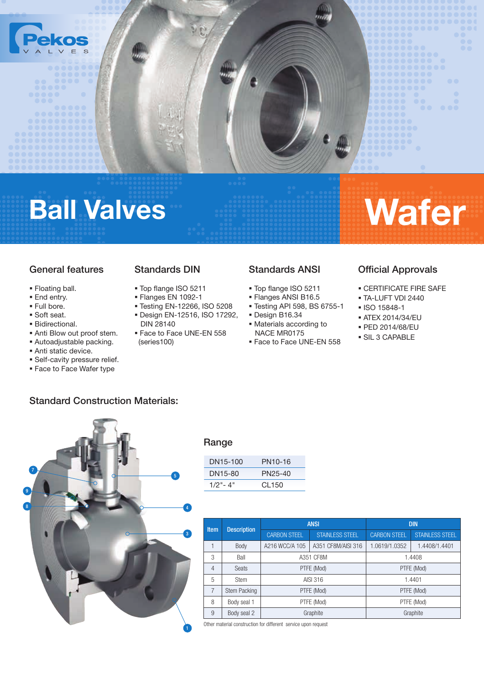

# Ball Valves Wafer

## General features

- Floating ball.
- **End entry.**
- Full bore.
- Soft seat.
- Bidirectional.
- Anti Blow out proof stem.
- Autoadjustable packing.
- **Anti static device.**
- Self-cavity pressure relief.
- **Face to Face Wafer type**

## Standards DIN

- Top flange ISO 5211
- Flanges EN 1092-1
- Testing EN-12266, ISO 5208
- Design EN-12516, ISO 17292, DIN 28140 Face to Face UNE-EN 558
- (series100)

## Standards ANSI

- Top flange ISO 5211
- **Flanges ANSI B16.5**
- Testing API 598, BS 6755-1
- Design B16.34
- Materials according to NACE MR0175
- **Face to Face UNE-EN 558**

## Official Approvals

- CERTIFICATE FIRE SAFE
- TA-LUFT VDI 2440
- ISO 15848-1
- ATEX 2014/34/EU
- PED 2014/68/EU
- SIL 3 CAPABLE



Standard Construction Materials:

#### Range

| DN15-100    | PN10-16 |
|-------------|---------|
| DN15-80     | PN25-40 |
| $1/2" - 4"$ | CL 150  |

| <b>Item</b>    | <b>Description</b> |                                      | <b>ANSI</b>            | <b>DIN</b>          |                        |  |
|----------------|--------------------|--------------------------------------|------------------------|---------------------|------------------------|--|
|                |                    | <b>CARBON STEEL</b>                  | <b>STAINLESS STEEL</b> | <b>CARBON STEEL</b> | <b>STAINLESS STEEL</b> |  |
| 1              | Body               | A351 CF8M/AISI 316<br>A216 WCC/A 105 |                        | 1.0619/1.0352       | 1.4408/1.4401          |  |
| 3              | Ball               |                                      | A351 CF8M              | 1.4408              |                        |  |
| $\overline{4}$ | <b>Seats</b>       |                                      | PTFE (Mod)             | PTFE (Mod)          |                        |  |
| 5              | <b>Stem</b>        |                                      | AISI 316               | 1.4401              |                        |  |
| 7              | Stem Packing       |                                      | PTFE (Mod)             | PTFE (Mod)          |                        |  |
| 8              | Body seal 1        |                                      | PTFE (Mod)             | PTFE (Mod)          |                        |  |
| 9              | Body seal 2        |                                      | Graphite               | Graphite            |                        |  |

Other material construction for different service upon request